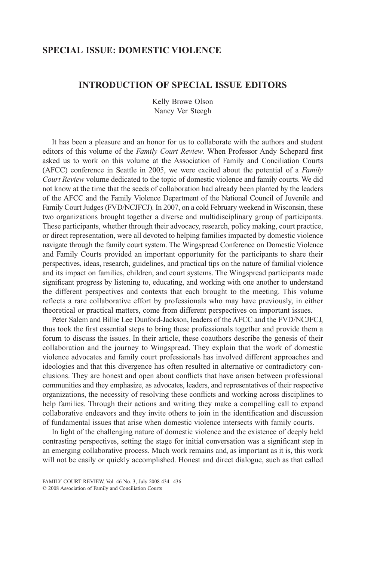## **INTRODUCTION OF SPECIAL ISSUE EDITORS**

Kelly Browe Olson Nancy Ver Steegh

It has been a pleasure and an honor for us to collaborate with the authors and student editors of this volume of the *Family Court Review*. When Professor Andy Schepard first asked us to work on this volume at the Association of Family and Conciliation Courts (AFCC) conference in Seattle in 2005, we were excited about the potential of a *Family Court Review* volume dedicated to the topic of domestic violence and family courts. We did not know at the time that the seeds of collaboration had already been planted by the leaders of the AFCC and the Family Violence Department of the National Council of Juvenile and Family Court Judges (FVD/NCJFCJ). In 2007, on a cold February weekend in Wisconsin, these two organizations brought together a diverse and multidisciplinary group of participants. These participants, whether through their advocacy, research, policy making, court practice, or direct representation, were all devoted to helping families impacted by domestic violence navigate through the family court system. The Wingspread Conference on Domestic Violence and Family Courts provided an important opportunity for the participants to share their perspectives, ideas, research, guidelines, and practical tips on the nature of familial violence and its impact on families, children, and court systems. The Wingspread participants made significant progress by listening to, educating, and working with one another to understand the different perspectives and contexts that each brought to the meeting. This volume reflects a rare collaborative effort by professionals who may have previously, in either theoretical or practical matters, come from different perspectives on important issues.

Peter Salem and Billie Lee Dunford-Jackson, leaders of the AFCC and the FVD/NCJFCJ, thus took the first essential steps to bring these professionals together and provide them a forum to discuss the issues. In their article, these coauthors describe the genesis of their collaboration and the journey to Wingspread. They explain that the work of domestic violence advocates and family court professionals has involved different approaches and ideologies and that this divergence has often resulted in alternative or contradictory conclusions. They are honest and open about conflicts that have arisen between professional communities and they emphasize, as advocates, leaders, and representatives of their respective organizations, the necessity of resolving these conflicts and working across disciplines to help families. Through their actions and writing they make a compelling call to expand collaborative endeavors and they invite others to join in the identification and discussion of fundamental issues that arise when domestic violence intersects with family courts.

In light of the challenging nature of domestic violence and the existence of deeply held contrasting perspectives, setting the stage for initial conversation was a significant step in an emerging collaborative process. Much work remains and, as important as it is, this work will not be easily or quickly accomplished. Honest and direct dialogue, such as that called

FAMILY COURT REVIEW, Vol. 46 No. 3, July 2008 434–436 © 2008 Association of Family and Conciliation Courts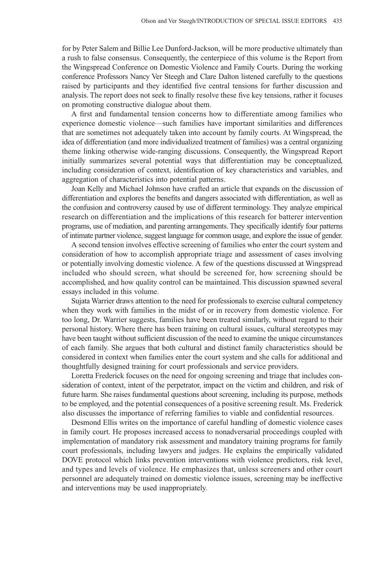for by Peter Salem and Billie Lee Dunford-Jackson, will be more productive ultimately than a rush to false consensus. Consequently, the centerpiece of this volume is the Report from the Wingspread Conference on Domestic Violence and Family Courts. During the working conference Professors Nancy Ver Steegh and Clare Dalton listened carefully to the questions raised by participants and they identified five central tensions for further discussion and analysis. The report does not seek to finally resolve these five key tensions, rather it focuses on promoting constructive dialogue about them.

A first and fundamental tension concerns how to differentiate among families who experience domestic violence—such families have important similarities and differences that are sometimes not adequately taken into account by family courts. At Wingspread, the idea of differentiation (and more individualized treatment of families) was a central organizing theme linking otherwise wide-ranging discussions. Consequently, the Wingspread Report initially summarizes several potential ways that differentiation may be conceptualized, including consideration of context, identification of key characteristics and variables, and aggregation of characteristics into potential patterns.

Joan Kelly and Michael Johnson have crafted an article that expands on the discussion of differentiation and explores the benefits and dangers associated with differentiation, as well as the confusion and controversy caused by use of different terminology. They analyze empirical research on differentiation and the implications of this research for batterer intervention programs, use of mediation, and parenting arrangements. They specifically identify four patterns of intimate partner violence, suggest language for common usage, and explore the issue of gender.

A second tension involves effective screening of families who enter the court system and consideration of how to accomplish appropriate triage and assessment of cases involving or potentially involving domestic violence. A few of the questions discussed at Wingspread included who should screen, what should be screened for, how screening should be accomplished, and how quality control can be maintained. This discussion spawned several essays included in this volume.

Sujata Warrier draws attention to the need for professionals to exercise cultural competency when they work with families in the midst of or in recovery from domestic violence. For too long, Dr. Warrier suggests, families have been treated similarly, without regard to their personal history. Where there has been training on cultural issues, cultural stereotypes may have been taught without sufficient discussion of the need to examine the unique circumstances of each family. She argues that both cultural and distinct family characteristics should be considered in context when families enter the court system and she calls for additional and thoughtfully designed training for court professionals and service providers.

Loretta Frederick focuses on the need for ongoing screening and triage that includes consideration of context, intent of the perpetrator, impact on the victim and children, and risk of future harm. She raises fundamental questions about screening, including its purpose, methods to be employed, and the potential consequences of a positive screening result. Ms. Frederick also discusses the importance of referring families to viable and confidential resources.

Desmond Ellis writes on the importance of careful handling of domestic violence cases in family court. He proposes increased access to nonadversarial proceedings coupled with implementation of mandatory risk assessment and mandatory training programs for family court professionals, including lawyers and judges. He explains the empirically validated DOVE protocol which links prevention interventions with violence predictors, risk level, and types and levels of violence. He emphasizes that, unless screeners and other court personnel are adequately trained on domestic violence issues, screening may be ineffective and interventions may be used inappropriately.